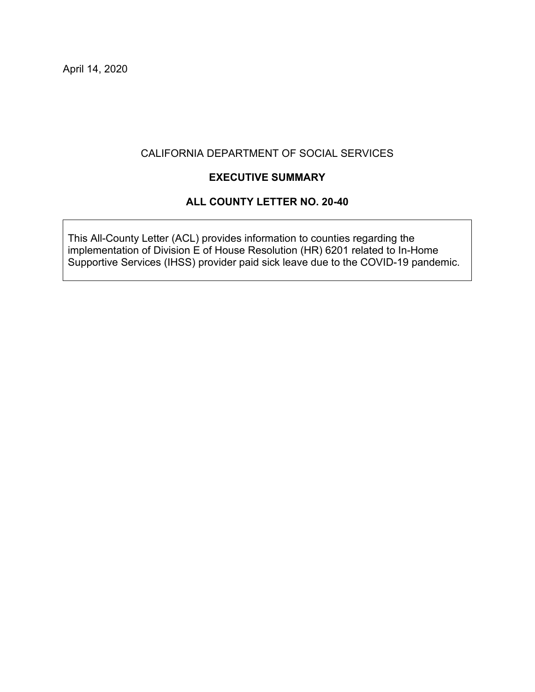#### CALIFORNIA DEPARTMENT OF SOCIAL SERVICES

#### **EXECUTIVE SUMMARY**

#### **ALL COUNTY LETTER NO. 20-40**

This All-County Letter (ACL) provides information to counties regarding the implementation of Division E of House Resolution (HR) 6201 related to In-Home Supportive Services (IHSS) provider paid sick leave due to the COVID-19 pandemic.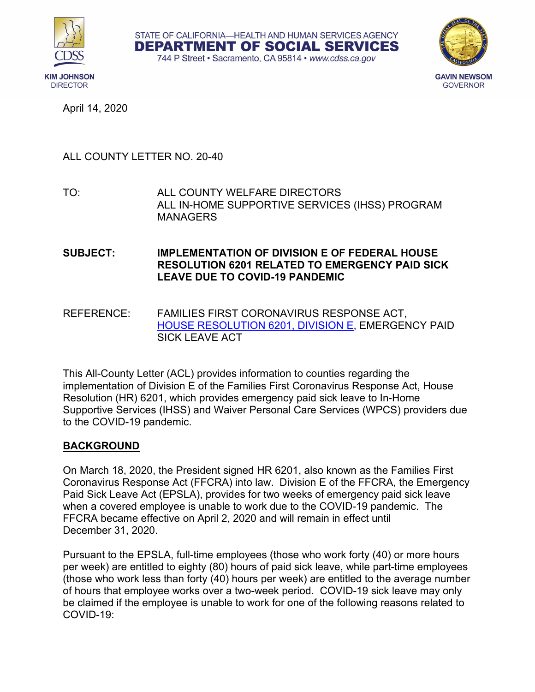





## ALL COUNTY LETTER NO. 20-40

TO: ALL COUNTY WELFARE DIRECTORS ALL IN-HOME SUPPORTIVE SERVICES (IHSS) PROGRAM MANAGERS

#### **SUBJECT: IMPLEMENTATION OF DIVISION E OF FEDERAL HOUSE RESOLUTION 6201 RELATED TO EMERGENCY PAID SICK LEAVE DUE TO COVID-19 PANDEMIC**

REFERENCE: FAMILIES FIRST CORONAVIRUS RESPONSE ACT, [HOUSE RESOLUTION 6201, DIVISION E,](https://www.congress.gov/116/bills/hr6201/BILLS-116hr6201enr.pdf) EMERGENCY PAID SICK LEAVE ACT

This All-County Letter (ACL) provides information to counties regarding the implementation of Division E of the Families First Coronavirus Response Act, House Resolution (HR) 6201, which provides emergency paid sick leave to In-Home Supportive Services (IHSS) and Waiver Personal Care Services (WPCS) providers due to the COVID-19 pandemic.

### **BACKGROUND**

On March 18, 2020, the President signed HR 6201, also known as the Families First Coronavirus Response Act (FFCRA) into law. Division E of the FFCRA, the Emergency Paid Sick Leave Act (EPSLA), provides for two weeks of emergency paid sick leave when a covered employee is unable to work due to the COVID-19 pandemic. The FFCRA became effective on April 2, 2020 and will remain in effect until December 31, 2020.

Pursuant to the EPSLA, full-time employees (those who work forty (40) or more hours per week) are entitled to eighty (80) hours of paid sick leave, while part-time employees (those who work less than forty (40) hours per week) are entitled to the average number of hours that employee works over a two-week period. COVID-19 sick leave may only be claimed if the employee is unable to work for one of the following reasons related to COVID-19: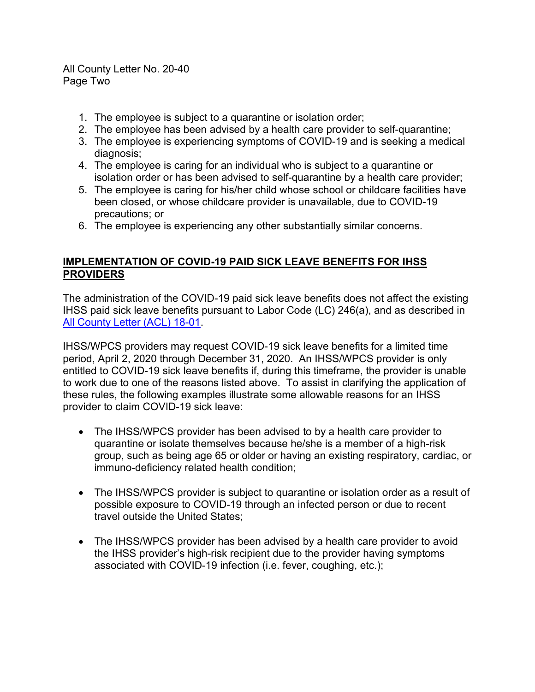All County Letter No. 20-40 Page Two

- 1. The employee is subject to a quarantine or isolation order;
- 2. The employee has been advised by a health care provider to self-quarantine;
- 3. The employee is experiencing symptoms of COVID-19 and is seeking a medical diagnosis;
- 4. The employee is caring for an individual who is subject to a quarantine or isolation order or has been advised to self-quarantine by a health care provider;
- 5. The employee is caring for his/her child whose school or childcare facilities have been closed, or whose childcare provider is unavailable, due to COVID-19 precautions; or
- 6. The employee is experiencing any other substantially similar concerns.

### **IMPLEMENTATION OF COVID-19 PAID SICK LEAVE BENEFITS FOR IHSS PROVIDERS**

The administration of the COVID-19 paid sick leave benefits does not affect the existing IHSS paid sick leave benefits pursuant to Labor Code (LC) 246(a), and as described in [All County Letter \(ACL\) 18-01.](https://www.cdss.ca.gov/Portals/9/ACL/2018/18-01.pdf?ver=2018-01-12-112939-430)

IHSS/WPCS providers may request COVID-19 sick leave benefits for a limited time period, April 2, 2020 through December 31, 2020. An IHSS/WPCS provider is only entitled to COVID-19 sick leave benefits if, during this timeframe, the provider is unable to work due to one of the reasons listed above. To assist in clarifying the application of these rules, the following examples illustrate some allowable reasons for an IHSS provider to claim COVID-19 sick leave:

- The IHSS/WPCS provider has been advised to by a health care provider to quarantine or isolate themselves because he/she is a member of a high-risk group, such as being age 65 or older or having an existing respiratory, cardiac, or immuno-deficiency related health condition;
- The IHSS/WPCS provider is subject to quarantine or isolation order as a result of possible exposure to COVID-19 through an infected person or due to recent travel outside the United States;
- The IHSS/WPCS provider has been advised by a health care provider to avoid the IHSS provider's high-risk recipient due to the provider having symptoms associated with COVID-19 infection (i.e. fever, coughing, etc.);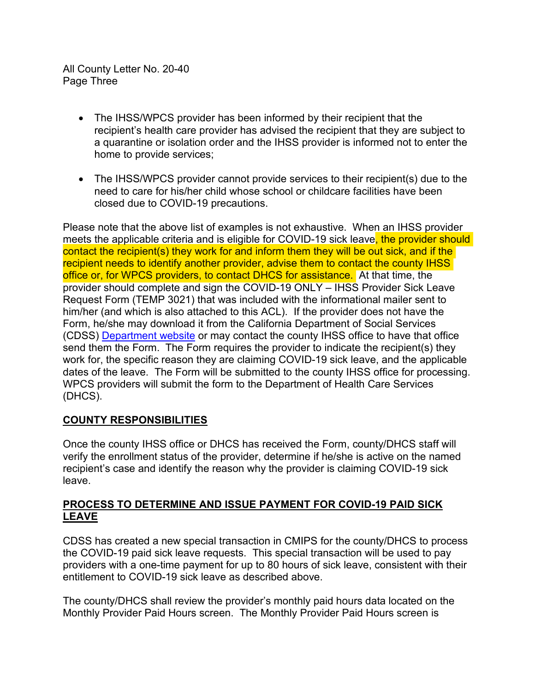All County Letter No. 20-40 Page Three

- The IHSS/WPCS provider has been informed by their recipient that the recipient's health care provider has advised the recipient that they are subject to a quarantine or isolation order and the IHSS provider is informed not to enter the home to provide services;
- The IHSS/WPCS provider cannot provide services to their recipient(s) due to the need to care for his/her child whose school or childcare facilities have been closed due to COVID-19 precautions.

Please note that the above list of examples is not exhaustive. When an IHSS provider meets the applicable criteria and is eligible for COVID-19 sick leave, the provider should contact the recipient(s) they work for and inform them they will be out sick, and if the recipient needs to identify another provider, advise them to contact the county IHSS office or, for WPCS providers, to contact DHCS for assistance. At that time, the provider should complete and sign the COVID-19 ONLY – IHSS Provider Sick Leave Request Form (TEMP 3021) that was included with the informational mailer sent to him/her (and which is also attached to this ACL). If the provider does not have the Form, he/she may download it from the California Department of Social Services (CDSS) [Department website](https://cdss.ca.gov/inforesources/forms-brochures/forms-alphabetic-list/q-t) or may contact the county IHSS office to have that office send them the Form. The Form requires the provider to indicate the recipient(s) they work for, the specific reason they are claiming COVID-19 sick leave, and the applicable dates of the leave. The Form will be submitted to the county IHSS office for processing. WPCS providers will submit the form to the Department of Health Care Services (DHCS).

### **COUNTY RESPONSIBILITIES**

Once the county IHSS office or DHCS has received the Form, county/DHCS staff will verify the enrollment status of the provider, determine if he/she is active on the named recipient's case and identify the reason why the provider is claiming COVID-19 sick leave.

#### **PROCESS TO DETERMINE AND ISSUE PAYMENT FOR COVID-19 PAID SICK LEAVE**

CDSS has created a new special transaction in CMIPS for the county/DHCS to process the COVID-19 paid sick leave requests. This special transaction will be used to pay providers with a one-time payment for up to 80 hours of sick leave, consistent with their entitlement to COVID-19 sick leave as described above.

The county/DHCS shall review the provider's monthly paid hours data located on the Monthly Provider Paid Hours screen. The Monthly Provider Paid Hours screen is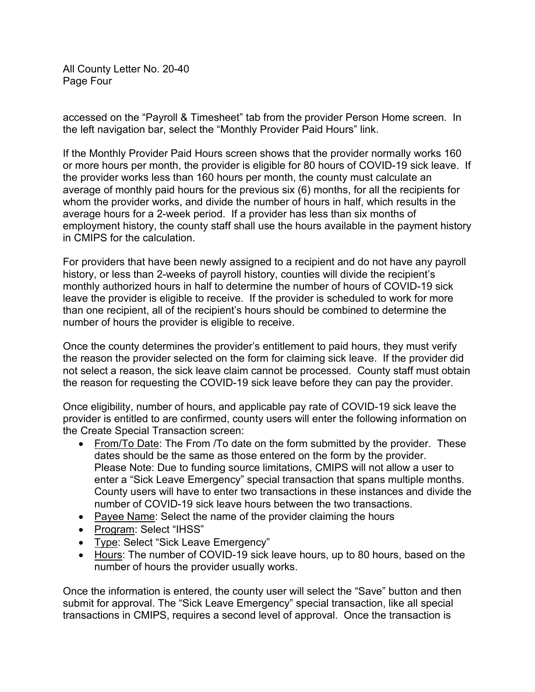All County Letter No. 20-40 Page Four

accessed on the "Payroll & Timesheet" tab from the provider Person Home screen. In the left navigation bar, select the "Monthly Provider Paid Hours" link.

If the Monthly Provider Paid Hours screen shows that the provider normally works 160 or more hours per month, the provider is eligible for 80 hours of COVID-19 sick leave. If the provider works less than 160 hours per month, the county must calculate an average of monthly paid hours for the previous six (6) months, for all the recipients for whom the provider works, and divide the number of hours in half, which results in the average hours for a 2-week period. If a provider has less than six months of employment history, the county staff shall use the hours available in the payment history in CMIPS for the calculation.

For providers that have been newly assigned to a recipient and do not have any payroll history, or less than 2-weeks of payroll history, counties will divide the recipient's monthly authorized hours in half to determine the number of hours of COVID-19 sick leave the provider is eligible to receive. If the provider is scheduled to work for more than one recipient, all of the recipient's hours should be combined to determine the number of hours the provider is eligible to receive.

Once the county determines the provider's entitlement to paid hours, they must verify the reason the provider selected on the form for claiming sick leave. If the provider did not select a reason, the sick leave claim cannot be processed. County staff must obtain the reason for requesting the COVID-19 sick leave before they can pay the provider.

Once eligibility, number of hours, and applicable pay rate of COVID-19 sick leave the provider is entitled to are confirmed, county users will enter the following information on the Create Special Transaction screen:

- From/To Date: The From /To date on the form submitted by the provider. These dates should be the same as those entered on the form by the provider. Please Note: Due to funding source limitations, CMIPS will not allow a user to enter a "Sick Leave Emergency" special transaction that spans multiple months. County users will have to enter two transactions in these instances and divide the number of COVID-19 sick leave hours between the two transactions.
- Payee Name: Select the name of the provider claiming the hours
- Program: Select "IHSS"
- Type: Select "Sick Leave Emergency"
- Hours: The number of COVID-19 sick leave hours, up to 80 hours, based on the number of hours the provider usually works.

Once the information is entered, the county user will select the "Save" button and then submit for approval. The "Sick Leave Emergency" special transaction, like all special transactions in CMIPS, requires a second level of approval. Once the transaction is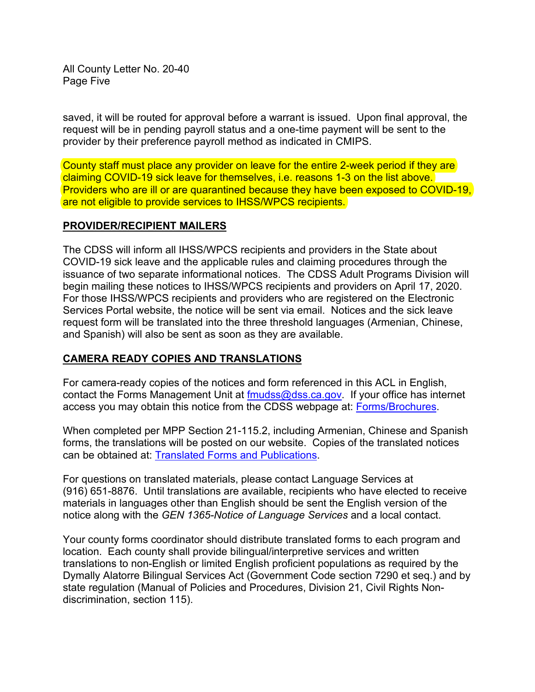All County Letter No. 20-40 Page Five

saved, it will be routed for approval before a warrant is issued. Upon final approval, the request will be in pending payroll status and a one-time payment will be sent to the provider by their preference payroll method as indicated in CMIPS.

County staff must place any provider on leave for the entire 2-week period if they are claiming COVID-19 sick leave for themselves, i.e. reasons 1-3 on the list above. Providers who are ill or are quarantined because they have been exposed to COVID-19, are not eligible to provide services to IHSS/WPCS recipients.

#### **PROVIDER/RECIPIENT MAILERS**

The CDSS will inform all IHSS/WPCS recipients and providers in the State about COVID-19 sick leave and the applicable rules and claiming procedures through the issuance of two separate informational notices. The CDSS Adult Programs Division will begin mailing these notices to IHSS/WPCS recipients and providers on April 17, 2020. For those IHSS/WPCS recipients and providers who are registered on the Electronic Services Portal website, the notice will be sent via email. Notices and the sick leave request form will be translated into the three threshold languages (Armenian, Chinese, and Spanish) will also be sent as soon as they are available.

#### **CAMERA READY COPIES AND TRANSLATIONS**

For camera-ready copies of the notices and form referenced in this ACL in English, contact the Forms Management Unit at [fmudss@dss.ca.gov.](mailto:fmudss@dss.ca.gov) If your office has internet access you may obtain this notice from the CDSS webpage at: [Forms/Brochures.](http://www.cdss.ca.gov/inforesources/Forms-Brochures)

When completed per MPP Section 21-115.2, including Armenian, Chinese and Spanish forms, the translations will be posted on our website. Copies of the translated notices can be obtained at: [Translated Forms and Publications.](http://www.cdss.ca.gov/inforesources/Translated-Forms-and-Publications)

For questions on translated materials, please contact Language Services at (916) 651-8876. Until translations are available, recipients who have elected to receive materials in languages other than English should be sent the English version of the notice along with the *GEN 1365-Notice of Language Services* and a local contact.

Your county forms coordinator should distribute translated forms to each program and location. Each county shall provide bilingual/interpretive services and written translations to non-English or limited English proficient populations as required by the Dymally Alatorre Bilingual Services Act (Government Code section 7290 et seq.) and by state regulation (Manual of Policies and Procedures, Division 21, Civil Rights Nondiscrimination, section 115).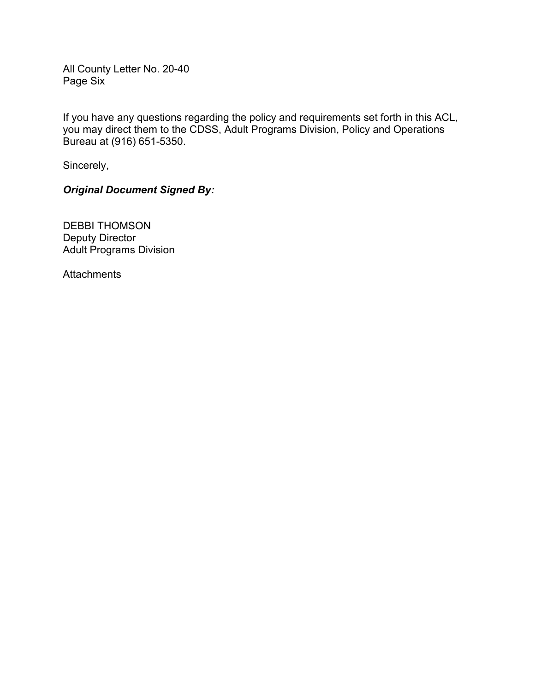All County Letter No. 20-40 Page Six

If you have any questions regarding the policy and requirements set forth in this ACL, you may direct them to the CDSS, Adult Programs Division, Policy and Operations Bureau at (916) 651-5350.

Sincerely,

*Original Document Signed By:*

DEBBI THOMSON Deputy Director Adult Programs Division

**Attachments**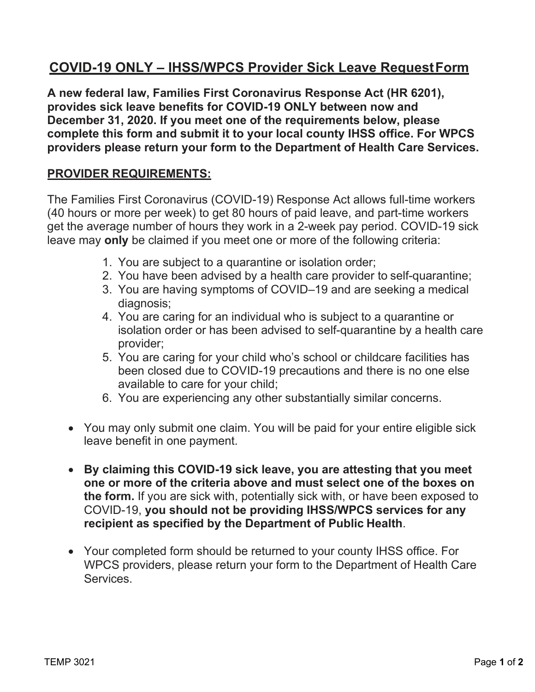# **COVID-19 ONLY – IHSS/WPCS Provider Sick Leave RequestForm**

 **A new federal law, Families First Coronavirus Response Act (HR 6201), provides sick leave benefits for COVID-19 ONLY between now and December 31, 2020. If you meet one of the requirements below, please complete this form and submit it to your local county IHSS office. For WPCS providers please return your form to the Department of Health Care Services.** 

# **PROVIDER REQUIREMENTS:**

 The Families First Coronavirus (COVID-19) Response Act allows full-time workers (40 hours or more per week) to get 80 hours of paid leave, and part-time workers get the average number of hours they work in a 2-week pay period. COVID-19 sick leave may **only** be claimed if you meet one or more of the following criteria:

- 1. You are subject to a quarantine or isolation order;
- 2. You have been advised by a health care provider to self-quarantine;
- 3. You are having symptoms of COVID–19 and are seeking a medical diagnosis;
- 4. You are caring for an individual who is subject to a quarantine or isolation order or has been advised to self-quarantine by a health care provider;
- been closed due to COVID-19 precautions and there is no one else available to care for your child; 5. You are caring for your child who's school or childcare facilities has
- 6. You are experiencing any other substantially similar concerns.
- • You may only submit one claim. You will be paid for your entire eligible sick leave benefit in one payment.
- **By claiming this COVID-19 sick leave, you are attesting that you meet one or more of the criteria above and must select one of the boxes on the form.** If you are sick with, potentially sick with, or have been exposed to  COVID-19, **you should not be providing IHSS/WPCS services for any recipient as specified by the Department of Public Health**.
- • Your completed form should be returned to your county IHSS office. For WPCS providers, please return your form to the Department of Health Care **Services**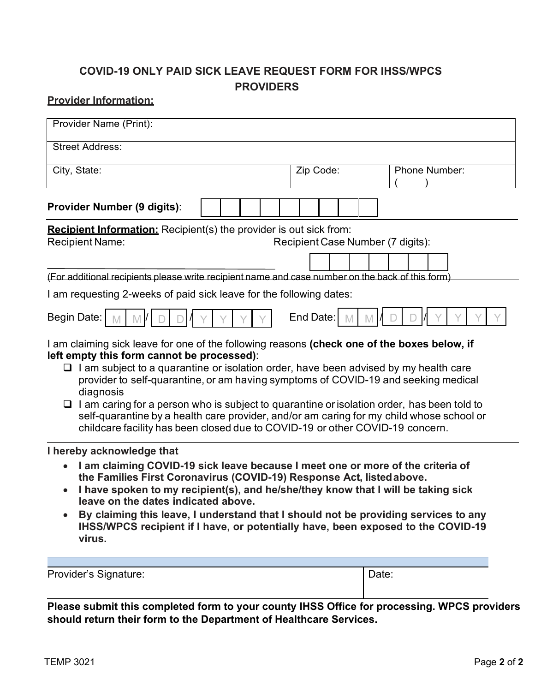# **COVID-19 ONLY PAID SICK LEAVE REQUEST FORM FOR IHSS/WPCS PROVIDERS**

## **Provider Information:**

| Provider Name (Print):                                                                                                                                                                                                                                                                                                                                                                                                                                                                                                                                  |  |                                   |                                                                                                                                                                         |
|---------------------------------------------------------------------------------------------------------------------------------------------------------------------------------------------------------------------------------------------------------------------------------------------------------------------------------------------------------------------------------------------------------------------------------------------------------------------------------------------------------------------------------------------------------|--|-----------------------------------|-------------------------------------------------------------------------------------------------------------------------------------------------------------------------|
| <b>Street Address:</b>                                                                                                                                                                                                                                                                                                                                                                                                                                                                                                                                  |  |                                   |                                                                                                                                                                         |
| City, State:                                                                                                                                                                                                                                                                                                                                                                                                                                                                                                                                            |  | Zip Code:                         | Phone Number:                                                                                                                                                           |
| <b>Provider Number (9 digits):</b>                                                                                                                                                                                                                                                                                                                                                                                                                                                                                                                      |  |                                   |                                                                                                                                                                         |
| <b>Recipient Information:</b> Recipient(s) the provider is out sick from:<br><b>Recipient Name:</b><br>(For additional recipients please write recipient name and case number on the back of this form)                                                                                                                                                                                                                                                                                                                                                 |  | Recipient Case Number (7 digits): |                                                                                                                                                                         |
| I am requesting 2-weeks of paid sick leave for the following dates:                                                                                                                                                                                                                                                                                                                                                                                                                                                                                     |  |                                   |                                                                                                                                                                         |
| <b>Begin Date:</b><br>I am claiming sick leave for one of the following reasons (check one of the boxes below, if<br>left empty this form cannot be processed):<br>$\Box$ I am subject to a quarantine or isolation order, have been advised by my health care<br>provider to self-quarantine, or am having symptoms of COVID-19 and seeking medical<br>diagnosis<br>$\Box$ I am caring for a person who is subject to quarantine or isolation order, has been told to<br>childcare facility has been closed due to COVID-19 or other COVID-19 concern. |  | End Date:                         | self-quarantine by a health care provider, and/or am caring for my child whose school or                                                                                |
| I hereby acknowledge that<br>I am claiming COVID-19 sick leave because I meet one or more of the criteria of<br>the Families First Coronavirus (COVID-19) Response Act, listed above.<br>I have spoken to my recipient(s), and he/she/they know that I will be taking sick<br>leave on the dates indicated above.<br>virus.                                                                                                                                                                                                                             |  |                                   | By claiming this leave, I understand that I should not be providing services to any<br>IHSS/WPCS recipient if I have, or potentially have, been exposed to the COVID-19 |
| Provider's Signature:                                                                                                                                                                                                                                                                                                                                                                                                                                                                                                                                   |  |                                   | Date:                                                                                                                                                                   |

**Please submit this completed form to your county IHSS Office for processing. WPCS providers should return their form to the Department of Healthcare Services.**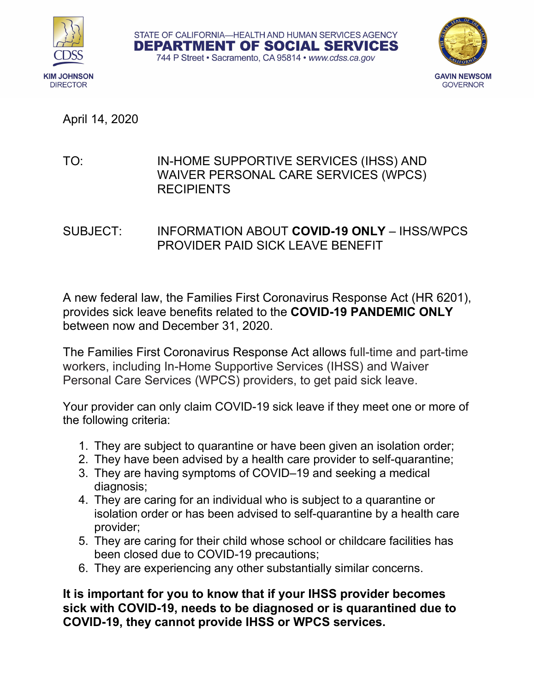





# TO: IN-HOME SUPPORTIVE SERVICES (IHSS) AND WAIVER PERSONAL CARE SERVICES (WPCS) **RECIPIENTS**

SUBJECT: INFORMATION ABOUT **COVID-19 ONLY** – IHSS/WPCS PROVIDER PAID SICK LEAVE BENEFIT

A new federal law, the Families First Coronavirus Response Act (HR 6201), provides sick leave benefits related to the **COVID-19 PANDEMIC ONLY** between now and December 31, 2020.

The Families First Coronavirus Response Act allows full-time and part-time workers, including In-Home Supportive Services (IHSS) and Waiver Personal Care Services (WPCS) providers, to get paid sick leave.

Your provider can only claim COVID-19 sick leave if they meet one or more of the following criteria:

- 1. They are subject to quarantine or have been given an isolation order;
- 2. They have been advised by a health care provider to self-quarantine;
- 3. They are having symptoms of COVID–19 and seeking a medical diagnosis;
- 4. They are caring for an individual who is subject to a quarantine or isolation order or has been advised to self-quarantine by a health care provider;
- 5. They are caring for their child whose school or childcare facilities has been closed due to COVID-19 precautions;
- 6. They are experiencing any other substantially similar concerns.

**It is important for you to know that if your IHSS provider becomes sick with COVID-19, needs to be diagnosed or is quarantined due to COVID-19, they cannot provide IHSS or WPCS services.**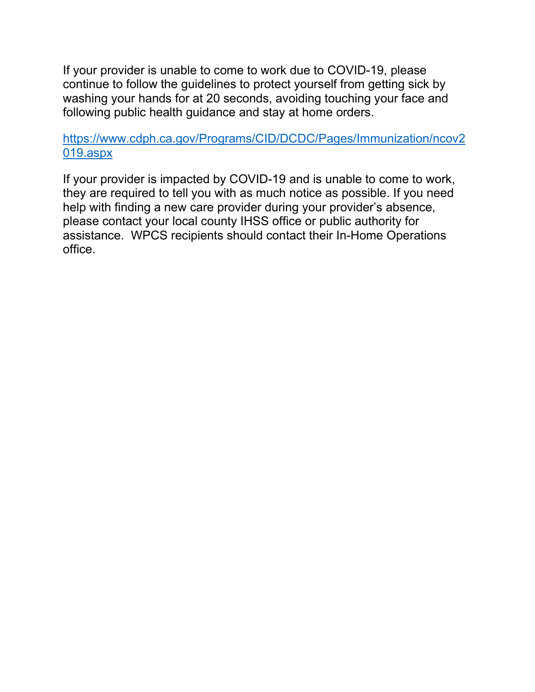If your provider is unable to come to work due to COVID-19, please continue to follow the guidelines to protect yourself from getting sick by washing your hands for at 20 seconds, avoiding touching your face and following public health guidance and stay at home orders.

# [https://www.cdph.ca.gov/Programs/CID/DCDC/Pages/Immunization/ncov2](https://www.cdph.ca.gov/Programs/CID/DCDC/Pages/Immunization/ncov2019.aspx) [019.aspx](https://www.cdph.ca.gov/Programs/CID/DCDC/Pages/Immunization/ncov2019.aspx)

If your provider is impacted by COVID-19 and is unable to come to work, they are required to tell you with as much notice as possible. If you need help with finding a new care provider during your provider's absence, please contact your local county IHSS office or public authority for assistance. WPCS recipients should contact their In-Home Operations office.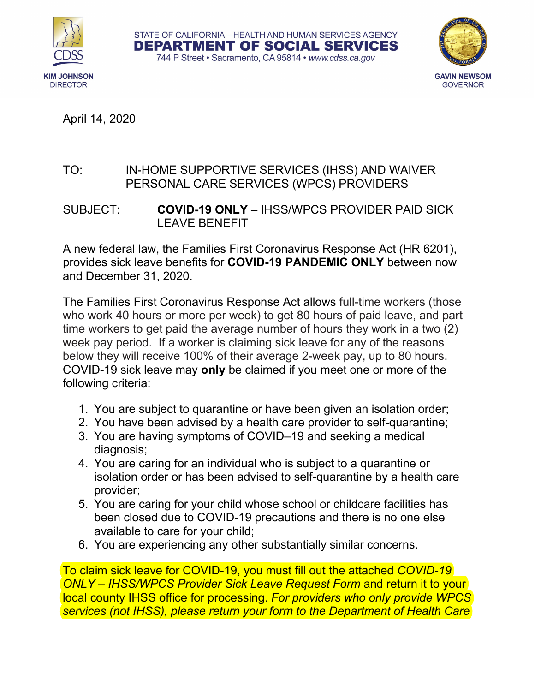





# TO: IN-HOME SUPPORTIVE SERVICES (IHSS) AND WAIVER PERSONAL CARE SERVICES (WPCS) PROVIDERS

SUBJECT: **COVID-19 ONLY** – IHSS/WPCS PROVIDER PAID SICK LEAVE BENEFIT

A new federal law, the Families First Coronavirus Response Act (HR 6201), provides sick leave benefits for **COVID-19 PANDEMIC ONLY** between now and December 31, 2020.

The Families First Coronavirus Response Act allows full-time workers (those who work 40 hours or more per week) to get 80 hours of paid leave, and part time workers to get paid the average number of hours they work in a two (2) week pay period. If a worker is claiming sick leave for any of the reasons below they will receive 100% of their average 2-week pay, up to 80 hours. COVID-19 sick leave may **only** be claimed if you meet one or more of the following criteria:

- 1. You are subject to quarantine or have been given an isolation order;
- 2. You have been advised by a health care provider to self-quarantine;
- 3. You are having symptoms of COVID–19 and seeking a medical diagnosis;
- 4. You are caring for an individual who is subject to a quarantine or isolation order or has been advised to self-quarantine by a health care provider;
- 5. You are caring for your child whose school or childcare facilities has been closed due to COVID-19 precautions and there is no one else available to care for your child;
- 6. You are experiencing any other substantially similar concerns.

To claim sick leave for COVID-19, you must fill out the attached *COVID-19 ONLY – IHSS/WPCS Provider Sick Leave Request Form* and return it to your local county IHSS office for processing. *For providers who only provide WPCS services (not IHSS), please return your form to the Department of Health Care*